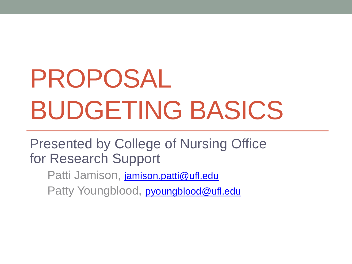# PROPOSAL BUDGETING BASICS

Presented by College of Nursing Office for Research Support

Patti Jamison, [jamison.patti@ufl.edu](mailto:jamison.patti@ufl.edu)

Patty Youngblood, [pyoungblood@ufl.edu](mailto:pyoungblood@ufl.edu)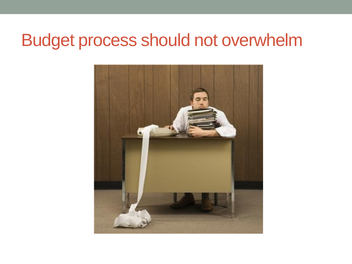#### Budget process should not overwhelm

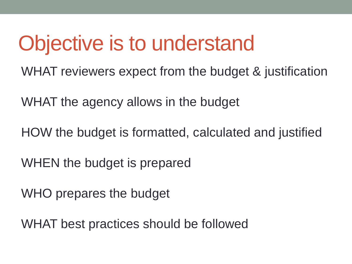## Objective is to understand

WHAT reviewers expect from the budget & justification

WHAT the agency allows in the budget

HOW the budget is formatted, calculated and justified

WHEN the budget is prepared

WHO prepares the budget

WHAT best practices should be followed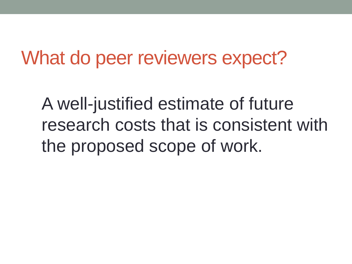#### What do peer reviewers expect?

A well-justified estimate of future research costs that is consistent with the proposed scope of work.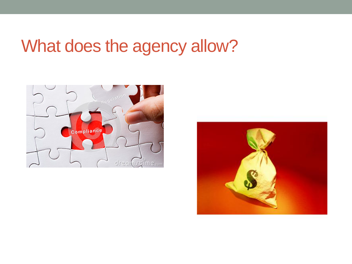#### What does the agency allow?



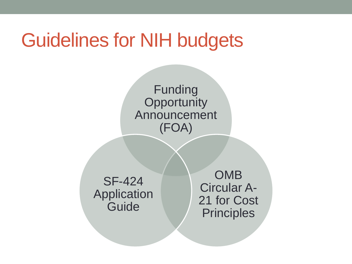#### Guidelines for NIH budgets



Application **Guide** 

Circular A-21 for Cost **Principles**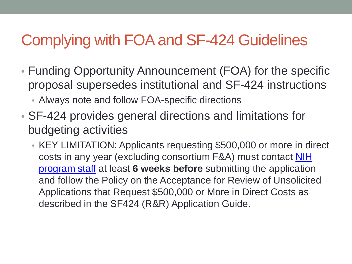#### Complying with FOA and SF-424 Guidelines

- Funding Opportunity Announcement (FOA) for the specific proposal supersedes institutional and SF-424 instructions
	- Always note and follow FOA-specific directions
- SF-424 provides general directions and limitations for budgeting activities
	- KEY LIMITATION: Applicants requesting \$500,000 or more in direct costs in any year (excluding consortium F&A) must contact NIH [program staff](http://grants.nih.gov/grants/guide/pa-files/PA-13-302.html_Section_VII._Agency) at least **6 weeks before** submitting the application and follow the Policy on the Acceptance for Review of Unsolicited Applications that Request \$500,000 or More in Direct Costs as described in the SF424 (R&R) Application Guide.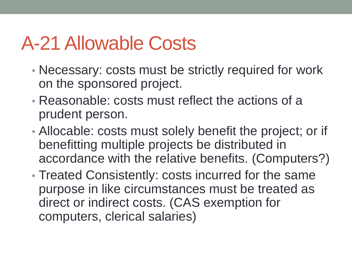#### A-21 Allowable Costs

- Necessary: costs must be strictly required for work on the sponsored project.
- Reasonable: costs must reflect the actions of a prudent person.
- Allocable: costs must solely benefit the project; or if benefitting multiple projects be distributed in accordance with the relative benefits. (Computers?)
- Treated Consistently: costs incurred for the same purpose in like circumstances must be treated as direct or indirect costs. (CAS exemption for computers, clerical salaries)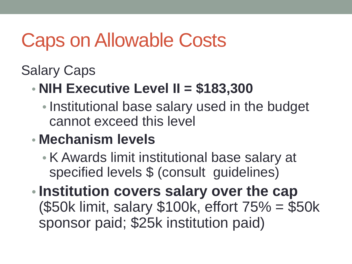## Caps on Allowable Costs

#### Salary Caps

#### • **NIH Executive Level II = \$183,300**

• Institutional base salary used in the budget cannot exceed this level

#### • **Mechanism levels**

- K Awards limit institutional base salary at specified levels \$ (consult guidelines)
- **Institution covers salary over the cap**  (\$50k limit, salary \$100k, effort 75% = \$50k sponsor paid; \$25k institution paid)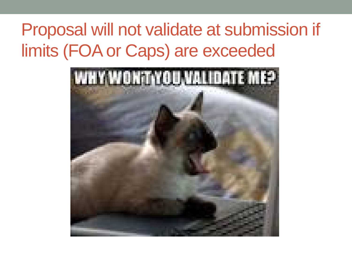#### Proposal will not validate at submission if limits (FOA or Caps) are exceeded

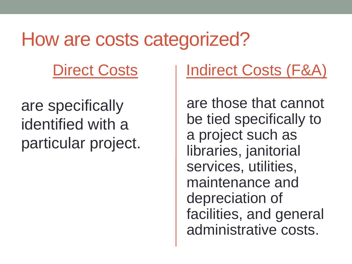#### How are costs categorized?

Direct Costs

are specifically identified with a particular project. Indirect Costs (F&A)

are those that cannot be tied specifically to a project such as libraries, janitorial services, utilities, maintenance and depreciation of facilities, and general administrative costs.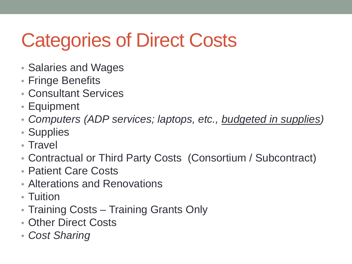## Categories of Direct Costs

- Salaries and Wages
- Fringe Benefits
- Consultant Services
- Equipment
- *Computers (ADP services; laptops, etc., budgeted in supplies)*
- Supplies
- Travel
- Contractual or Third Party Costs (Consortium / Subcontract)
- Patient Care Costs
- Alterations and Renovations
- Tuition
- Training Costs Training Grants Only
- Other Direct Costs
- *Cost Sharing*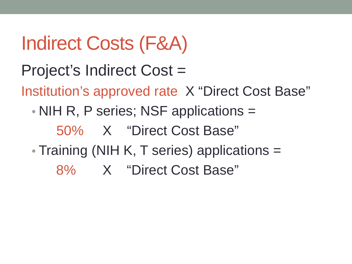## Indirect Costs (F&A)

Project's Indirect Cost =

Institution's approved rate X "Direct Cost Base"

• NIH R, P series; NSF applications =

50% X "Direct Cost Base"

• Training (NIH K, T series) applications =

8% X "Direct Cost Base"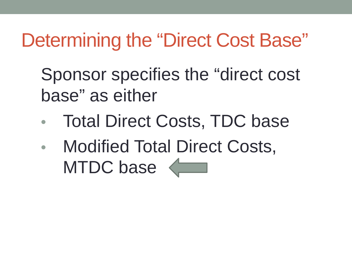## Determining the "Direct Cost Base"

Sponsor specifies the "direct cost base" as either

- Total Direct Costs, TDC base
- Modified Total Direct Costs, MTDC base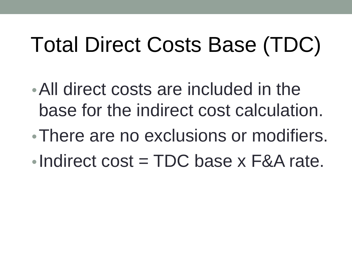## Total Direct Costs Base (TDC)

- •All direct costs are included in the base for the indirect cost calculation.
- •There are no exclusions or modifiers.
- •Indirect cost  $= TDC$  base x F&A rate.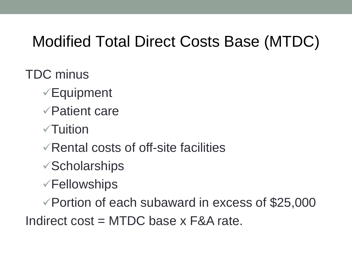#### Modified Total Direct Costs Base (MTDC)

TDC minus

- Equipment
- Patient care
- $\sqrt{\ }$ Tuition
- $\sqrt{R}$ ental costs of off-site facilities
- Scholarships
- Fellowships

Portion of each subaward in excess of \$25,000 Indirect  $cost = MTDC$  base  $x$  F&A rate.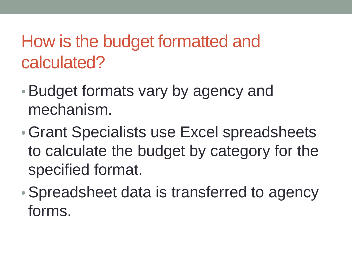#### How is the budget formatted and calculated?

- •Budget formats vary by agency and mechanism.
- •Grant Specialists use Excel spreadsheets to calculate the budget by category for the specified format.
- Spreadsheet data is transferred to agency forms.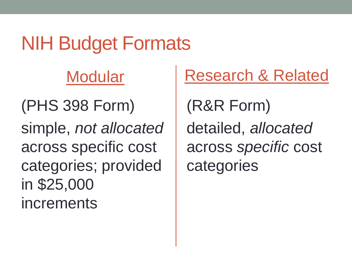#### NIH Budget Formats

**Modular** 

(PHS 398 Form) simple, *not allocated* across specific cost categories; provided in \$25,000 increments

Research & Related

(R&R Form) detailed, *allocated*  across *specific* cost categories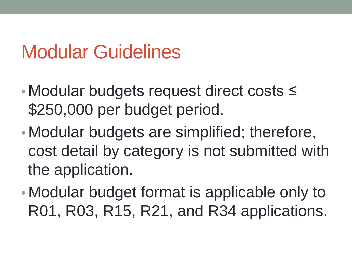#### Modular Guidelines

- Modular budgets request direct costs ≤ \$250,000 per budget period.
- Modular budgets are simplified; therefore, cost detail by category is not submitted with the application.
- Modular budget format is applicable only to R01, R03, R15, R21, and R34 applications.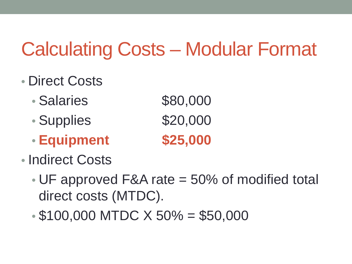## Calculating Costs – Modular Format

- Direct Costs
	- Salaries \$80,000
	- Supplies \$20,000
	- **Equipment \$25,000**

- Indirect Costs
	- UF approved F&A rate = 50% of modified total direct costs (MTDC).
	- $\cdot$  \$100,000 MTDC  $X$  50% = \$50,000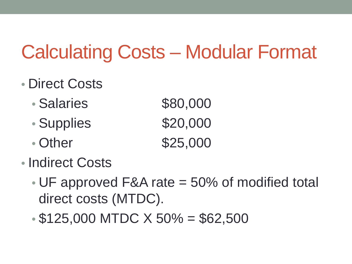### Calculating Costs – Modular Format

#### • Direct Costs

- Salaries \$80,000
- Supplies \$20,000
- Other \$25,000
- Indirect Costs
	- UF approved F&A rate = 50% of modified total direct costs (MTDC).
	- $\cdot$  \$125,000 MTDC  $X$  50% = \$62,500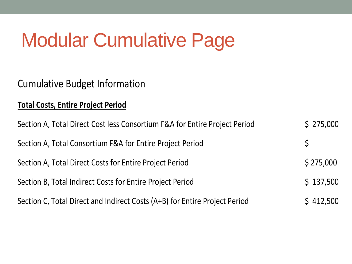## Modular Cumulative Page

#### Cumulative Budget Information

#### **Total Costs, Entire Project Period**

| Section A, Total Direct Cost less Consortium F&A for Entire Project Period | \$275,000 |
|----------------------------------------------------------------------------|-----------|
| Section A, Total Consortium F&A for Entire Project Period                  |           |
| Section A, Total Direct Costs for Entire Project Period                    | \$275,000 |
| Section B, Total Indirect Costs for Entire Project Period                  | \$137,500 |
| Section C, Total Direct and Indirect Costs (A+B) for Entire Project Period | \$412,500 |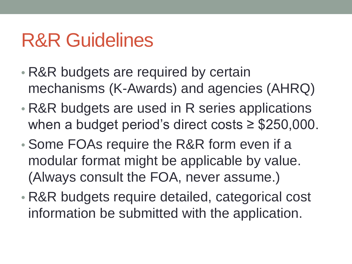### R&R Guidelines

- R&R budgets are required by certain mechanisms (K-Awards) and agencies (AHRQ)
- R&R budgets are used in R series applications when a budget period's direct costs  $\geq$  \$250,000.
- Some FOAs require the R&R form even if a modular format might be applicable by value. (Always consult the FOA, never assume.)
- R&R budgets require detailed, categorical cost information be submitted with the application.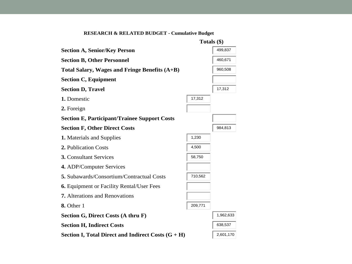#### **RESEARCH & RELATED BUDGET - Cumulative Budget**

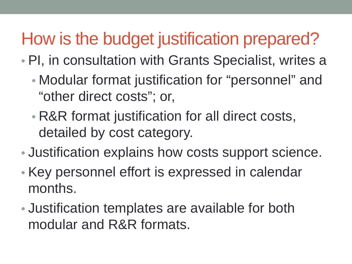#### How is the budget justification prepared?

- PI, in consultation with Grants Specialist, writes a
	- Modular format justification for "personnel" and "other direct costs"; or,
	- R&R format justification for all direct costs, detailed by cost category.
- Justification explains how costs support science.
- Key personnel effort is expressed in calendar months.
- Justification templates are available for both modular and R&R formats.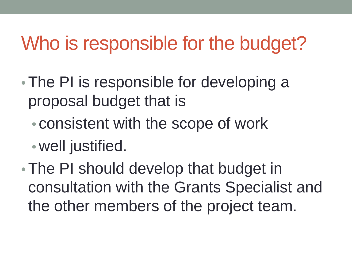### Who is responsible for the budget?

- The PI is responsible for developing a proposal budget that is
	- consistent with the scope of work
	- well justified.
- The PI should develop that budget in consultation with the Grants Specialist and the other members of the project team.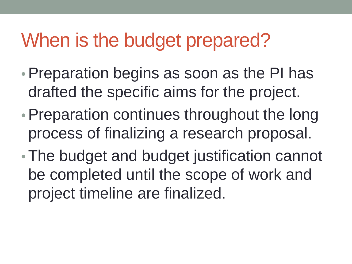## When is the budget prepared?

- Preparation begins as soon as the PI has drafted the specific aims for the project.
- Preparation continues throughout the long process of finalizing a research proposal.
- The budget and budget justification cannot be completed until the scope of work and project timeline are finalized.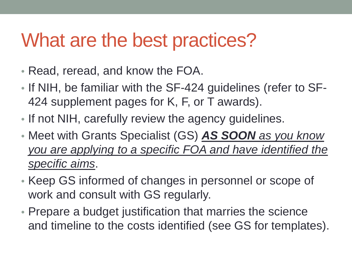#### What are the best practices?

- Read, reread, and know the FOA.
- If NIH, be familiar with the SF-424 guidelines (refer to SF-424 supplement pages for K, F, or T awards).
- If not NIH, carefully review the agency guidelines.
- Meet with Grants Specialist (GS) *AS SOON as you know you are applying to a specific FOA and have identified the specific aims*.
- Keep GS informed of changes in personnel or scope of work and consult with GS regularly.
- Prepare a budget justification that marries the science and timeline to the costs identified (see GS for templates).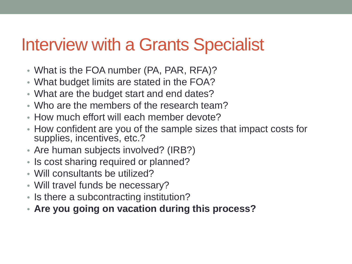#### Interview with a Grants Specialist

- What is the FOA number (PA, PAR, RFA)?
- What budget limits are stated in the FOA?
- What are the budget start and end dates?
- Who are the members of the research team?
- How much effort will each member devote?
- How confident are you of the sample sizes that impact costs for supplies, incentives, etc.?
- Are human subjects involved? (IRB?)
- Is cost sharing required or planned?
- Will consultants be utilized?
- Will travel funds be necessary?
- Is there a subcontracting institution?
- **Are you going on vacation during this process?**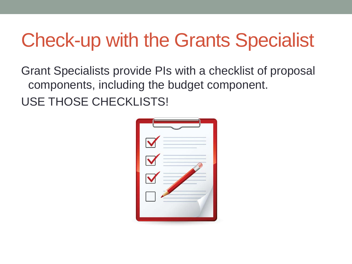## Check-up with the Grants Specialist

Grant Specialists provide PIs with a checklist of proposal components, including the budget component.

USE THOSE CHECKLISTS!